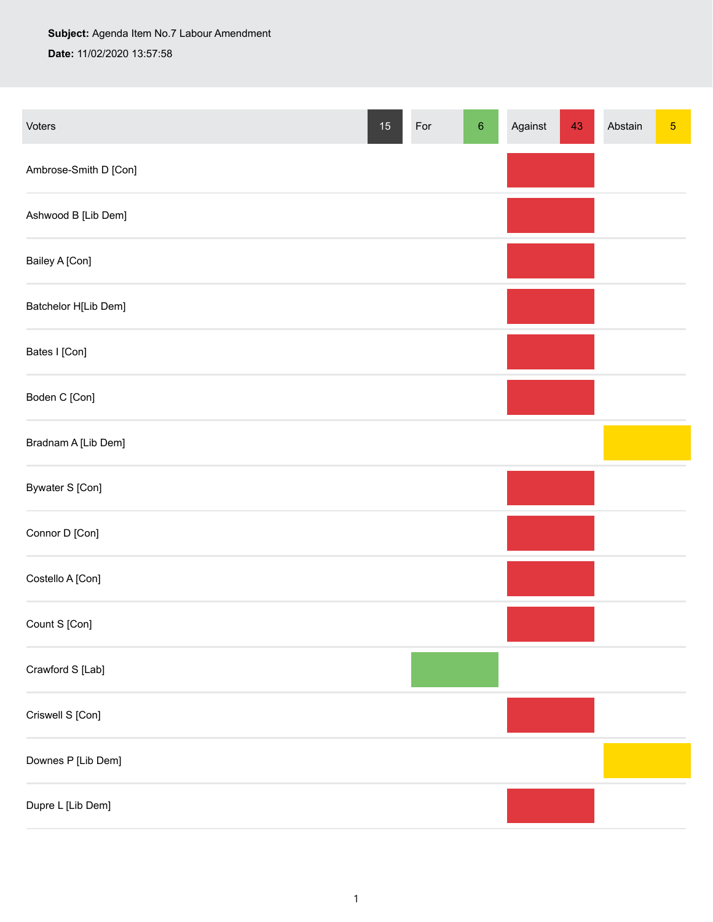## **Subject:** Agenda Item No.7 Labour Amendment

**Date:** 11/02/2020 13:57:58

| Voters                | $15\,$ | For | $\,6\,$ | Against | 43 | Abstain | $\sqrt{5}$ |
|-----------------------|--------|-----|---------|---------|----|---------|------------|
| Ambrose-Smith D [Con] |        |     |         |         |    |         |            |
| Ashwood B [Lib Dem]   |        |     |         |         |    |         |            |
| Bailey A [Con]        |        |     |         |         |    |         |            |
| Batchelor H[Lib Dem]  |        |     |         |         |    |         |            |
| Bates I [Con]         |        |     |         |         |    |         |            |
| Boden C [Con]         |        |     |         |         |    |         |            |
| Bradnam A [Lib Dem]   |        |     |         |         |    |         |            |
| Bywater S [Con]       |        |     |         |         |    |         |            |
| Connor D [Con]        |        |     |         |         |    |         |            |
| Costello A [Con]      |        |     |         |         |    |         |            |
| Count S [Con]         |        |     |         |         |    |         |            |
| Crawford S [Lab]      |        |     |         |         |    |         |            |
| Criswell S [Con]      |        |     |         |         |    |         |            |
| Downes P [Lib Dem]    |        |     |         |         |    |         |            |
| Dupre L [Lib Dem]     |        |     |         |         |    |         |            |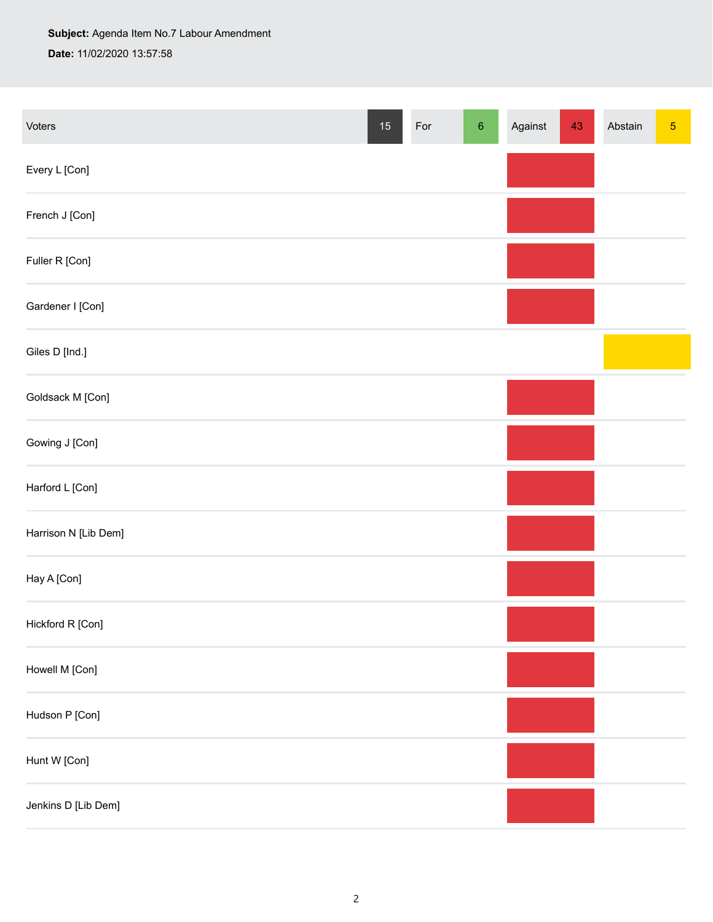## **Subject:** Agenda Item No.7 Labour Amendment **Date:** 11/02/2020 13:57:58

| Voters               | $15\,$ | For | $\,6\,$ | Against | 43 | Abstain | $\sqrt{5}$ |
|----------------------|--------|-----|---------|---------|----|---------|------------|
| Every L [Con]        |        |     |         |         |    |         |            |
| French J [Con]       |        |     |         |         |    |         |            |
| Fuller R [Con]       |        |     |         |         |    |         |            |
| Gardener I [Con]     |        |     |         |         |    |         |            |
| Giles D [Ind.]       |        |     |         |         |    |         |            |
| Goldsack M [Con]     |        |     |         |         |    |         |            |
| Gowing J [Con]       |        |     |         |         |    |         |            |
| Harford L [Con]      |        |     |         |         |    |         |            |
| Harrison N [Lib Dem] |        |     |         |         |    |         |            |
| Hay A [Con]          |        |     |         |         |    |         |            |
| Hickford R [Con]     |        |     |         |         |    |         |            |
| Howell M [Con]       |        |     |         |         |    |         |            |
| Hudson P [Con]       |        |     |         |         |    |         |            |
| Hunt W [Con]         |        |     |         |         |    |         |            |
| Jenkins D [Lib Dem]  |        |     |         |         |    |         |            |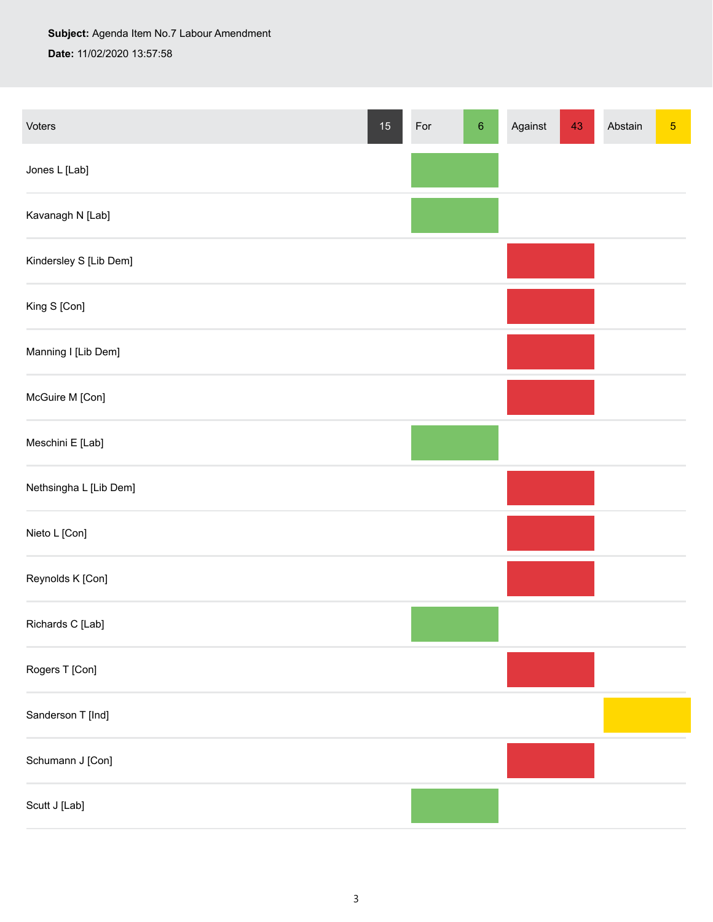**Subject:** Agenda Item No.7 Labour Amendment **Date:** 11/02/2020 13:57:58

| Voters                 | $15\,$ | For | $\,6\,$ | Against | 43 | Abstain | $\sqrt{5}$ |
|------------------------|--------|-----|---------|---------|----|---------|------------|
| Jones L [Lab]          |        |     |         |         |    |         |            |
| Kavanagh N [Lab]       |        |     |         |         |    |         |            |
| Kindersley S [Lib Dem] |        |     |         |         |    |         |            |
| King S [Con]           |        |     |         |         |    |         |            |
| Manning I [Lib Dem]    |        |     |         |         |    |         |            |
| McGuire M [Con]        |        |     |         |         |    |         |            |
| Meschini E [Lab]       |        |     |         |         |    |         |            |
| Nethsingha L [Lib Dem] |        |     |         |         |    |         |            |
| Nieto L [Con]          |        |     |         |         |    |         |            |
| Reynolds K [Con]       |        |     |         |         |    |         |            |
| Richards C [Lab]       |        |     |         |         |    |         |            |
| Rogers T [Con]         |        |     |         |         |    |         |            |
| Sanderson T [Ind]      |        |     |         |         |    |         |            |
| Schumann J [Con]       |        |     |         |         |    |         |            |
| Scutt J [Lab]          |        |     |         |         |    |         |            |